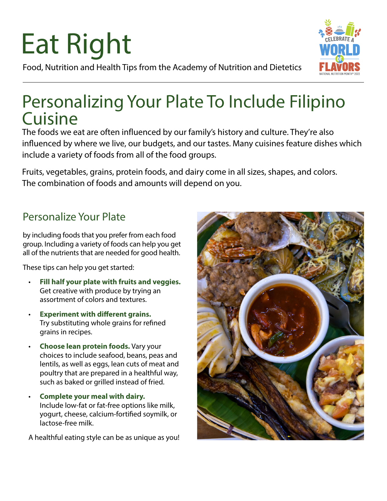# Eat Right

Food, Nutrition and Health Tips from the Academy of Nutrition and Dietetics

## Personalizing Your Plate To Include Filipino Cuisine

The foods we eat are often influenced by our family's history and culture. They're also influenced by where we live, our budgets, and our tastes. Many cuisines feature dishes which include a variety of foods from all of the food groups.

Fruits, vegetables, grains, protein foods, and dairy come in all sizes, shapes, and colors. The combination of foods and amounts will depend on you.

### Personalize Your Plate

by including foods that you prefer from each food group. Including a variety of foods can help you get all of the nutrients that are needed for good health.

These tips can help you get started:

- **Fill half your plate with fruits and veggies.** Get creative with produce by trying an assortment of colors and textures.
- **Experiment with different grains.** Try substituting whole grains for refined grains in recipes.
- **Choose lean protein foods.** Vary your choices to include seafood, beans, peas and lentils, as well as eggs, lean cuts of meat and poultry that are prepared in a healthful way, such as baked or grilled instead of fried.
- **Complete your meal with dairy.** Include low-fat or fat-free options like milk, yogurt, cheese, calcium-fortified soymilk, or lactose-free milk.

A healthful eating style can be as unique as you!